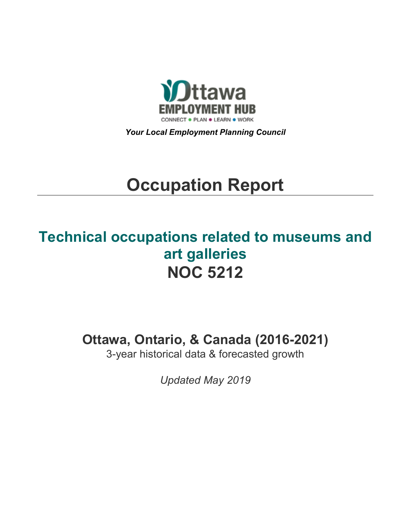

*Your Local Employment Planning Council*

# **Occupation Report**

# **Technical occupations related to museums and art galleries NOC 5212**

**Ottawa, Ontario, & Canada (2016-2021)**

3-year historical data & forecasted growth

*Updated May 2019*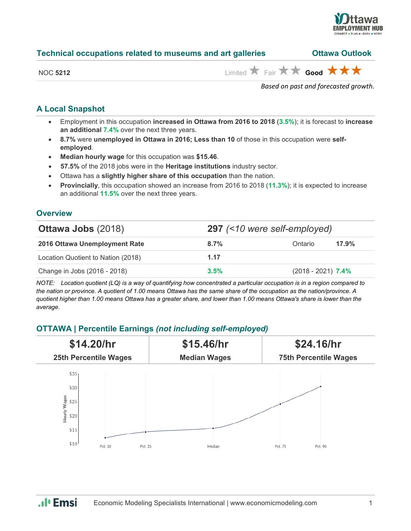

| <b>Technical occupations related to museums and art galleries</b> | <b>Ottawa Outlook</b> |
|-------------------------------------------------------------------|-----------------------|
|-------------------------------------------------------------------|-----------------------|

NOC **5212** Limited  $\uparrow$  Fair  $\uparrow$  Good  $\uparrow$   $\uparrow$  Good

*Based on past and forecasted growth.*

#### **A Local Snapshot**

- Employment in this occupation **increased in Ottawa from 2016 to 2018** (**3.5%**); it is forecast to **increase an additional 7.4%** over the next three years.
- **8.7%** were **unemployed in Ottawa in 2016; Less than 10** of those in this occupation were **selfemployed**.
- **Median hourly wage** for this occupation was **\$15.46**.
- **57.5%** of the 2018 jobs were in the **Heritage institutions** industry sector.
- Ottawa has a **slightly higher share of this occupation** than the nation.
- **Provincially**, this occupation showed an increase from 2016 to 2018 (**11.3%**); it is expected to increase an additional **11.5%** over the next three years.

#### **Overview**

| <b>Ottawa Jobs (2018)</b>          | 297 (<10 were self-employed) |                      |       |  |
|------------------------------------|------------------------------|----------------------|-------|--|
| 2016 Ottawa Unemployment Rate      | $8.7\%$                      | Ontario              | 17.9% |  |
| Location Quotient to Nation (2018) | 1.17                         |                      |       |  |
| Change in Jobs (2016 - 2018)       | 3.5%                         | $(2018 - 2021)$ 7.4% |       |  |

*NOTE: Location quotient (LQ) is a way of quantifying how concentrated a particular occupation is in a region compared to the nation or province. A quotient of 1.00 means Ottawa has the same share of the occupation as the nation/province. A quotient higher than 1.00 means Ottawa has a greater share, and lower than 1.00 means Ottawa's share is lower than the average.*

## **OTTAWA | Percentile Earnings** *(not including self-employed)*



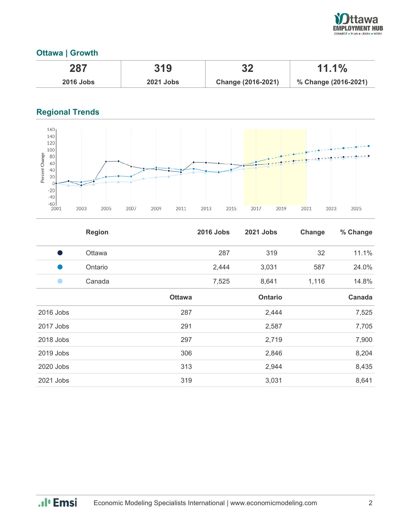

### **Ottawa | Growth**

| 287              | 319              | つつ                 | $11.1\%$             |
|------------------|------------------|--------------------|----------------------|
| <b>2016 Jobs</b> | <b>2021 Jobs</b> | Change (2016-2021) | % Change (2016-2021) |

# **Regional Trends**



|           | <b>Region</b> |               | <b>2016 Jobs</b> | <b>2021 Jobs</b> | Change | % Change |
|-----------|---------------|---------------|------------------|------------------|--------|----------|
| s,        | Ottawa        |               | 287              | 319              | 32     | 11.1%    |
|           | Ontario       |               | 2,444            | 3,031            | 587    | 24.0%    |
|           | Canada        |               | 7,525            | 8,641            | 1,116  | 14.8%    |
|           |               | <b>Ottawa</b> |                  | <b>Ontario</b>   |        | Canada   |
| 2016 Jobs |               | 287           |                  | 2,444            |        | 7,525    |
| 2017 Jobs |               | 291           |                  | 2,587            |        | 7,705    |
| 2018 Jobs |               | 297           |                  | 2,719            |        | 7,900    |
| 2019 Jobs |               | 306           |                  | 2,846            |        | 8,204    |
| 2020 Jobs |               | 313           |                  | 2,944            |        | 8,435    |
| 2021 Jobs |               | 319           |                  | 3,031            |        | 8,641    |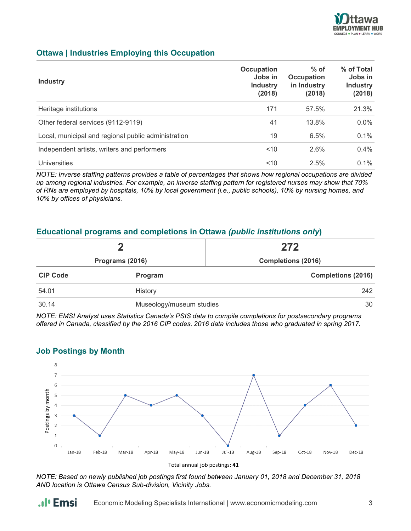

#### **Ottawa | Industries Employing this Occupation**

| <b>Industry</b>                                     | Occupation<br>Jobs in<br><b>Industry</b><br>(2018) | $%$ of<br><b>Occupation</b><br>in Industry<br>(2018) | % of Total<br>Jobs in<br><b>Industry</b><br>(2018) |
|-----------------------------------------------------|----------------------------------------------------|------------------------------------------------------|----------------------------------------------------|
| Heritage institutions                               | 171                                                | 57.5%                                                | 21.3%                                              |
| Other federal services (9112-9119)                  | 41                                                 | 13.8%                                                | $0.0\%$                                            |
| Local, municipal and regional public administration | 19                                                 | 6.5%                                                 | 0.1%                                               |
| Independent artists, writers and performers         | ~10                                                | 2.6%                                                 | 0.4%                                               |
| Universities                                        | 10                                                 | 2.5%                                                 | $0.1\%$                                            |

*NOTE: Inverse staffing patterns provides a table of percentages that shows how regional occupations are divided up among regional industries. For example, an inverse staffing pattern for registered nurses may show that 70% of RNs are employed by hospitals, 10% by local government (i.e., public schools), 10% by nursing homes, and 10% by offices of physicians.*

#### **Educational programs and completions in Ottawa** *(public institutions only***)**

| Programs (2016) |                          | 272                       |  |
|-----------------|--------------------------|---------------------------|--|
|                 |                          | <b>Completions (2016)</b> |  |
| <b>CIP Code</b> | Program                  | <b>Completions (2016)</b> |  |
| 54.01           | History                  | 242                       |  |
| 30.14           | Museology/museum studies | 30                        |  |

*NOTE: EMSI Analyst uses Statistics Canada's PSIS data to compile completions for postsecondary programs offered in Canada, classified by the 2016 CIP codes. 2016 data includes those who graduated in spring 2017.*

#### **Job Postings by Month**

.. I<sub>'</sub> Emsi



Total annual job postings: 41

*NOTE: Based on newly published job postings first found between January 01, 2018 and December 31, 2018 AND location is Ottawa Census Sub-division, Vicinity Jobs.*